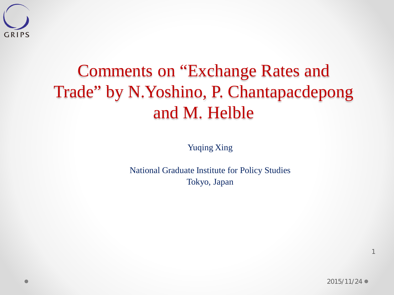

#### Comments on "Exchange Rates and Trade" by N.Yoshino, P. Chantapacdepong and M. Helble

Yuqing Xing

National Graduate Institute for Policy Studies Tokyo, Japan

1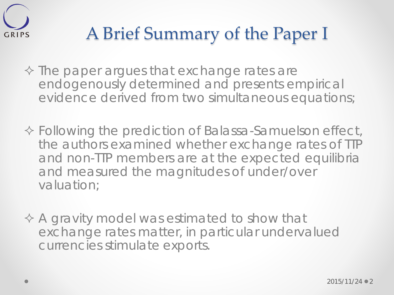

#### A Brief Summary of the Paper I

- $\Diamond$  The paper argues that exchange rates are endogenously determined and presents empirical evidence derived from two simultaneous equations;
- Following the prediction of Balassa-Samuelson effect, the authors examined whether exchange rates of TTP and non-TTP members are at the expected equilibria and measured the magnitudes of under/over valuation;
- $\Diamond$  A gravity model was estimated to show that exchange rates matter, in particular undervalued currencies stimulate exports.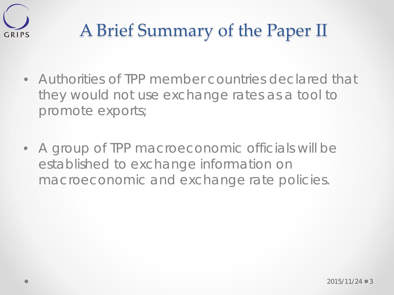

### A Brief Summary of the Paper II

- Authorities of TPP member countries declared that they would not use exchange rates as a tool to promote exports;
- A group of TPP macroeconomic officials will be established to exchange information on macroeconomic and exchange rate policies.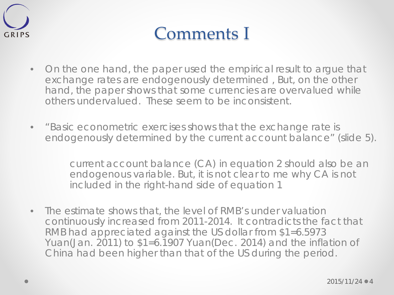

#### Comments I

- On the one hand, the paper used the empirical result to argue that exchange rates are endogenously determined , But, on the other hand, the paper shows that some currencies are overvalued while others undervalued. These seem to be inconsistent.
- "Basic econometric exercises shows that the exchange rate is endogenously determined by the current account balance" (slide 5).

current account balance (CA) in equation 2 should also be an endogenous variable. But, it is not clear to me why CA is not included in the right-hand side of equation 1

• The estimate shows that, the level of RMB's under valuation continuously increased from 2011-2014. It contradicts the fact that RMB had appreciated against the US dollar from \$1=6.5973 Yuan(Jan. 2011) to \$1=6.1907 Yuan(Dec. 2014) and the inflation of China had been higher than that of the US during the period.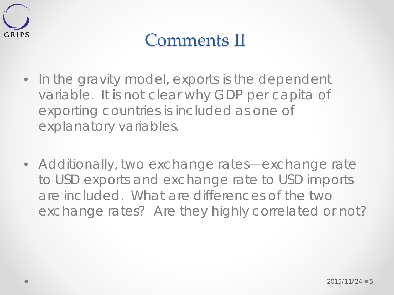

#### Comments II

- In the gravity model, exports is the dependent variable. It is not clear why GDP per capita of exporting countries is included as one of explanatory variables.
- Additionally, two exchange rates—exchange rate to USD exports and exchange rate to USD imports are included. What are differences of the two exchange rates? Are they highly correlated or not?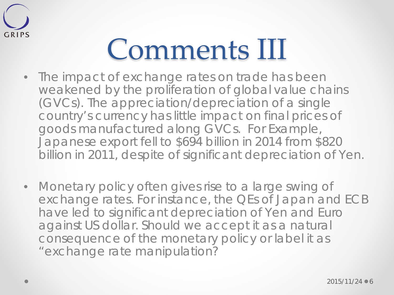

## Comments III

- The impact of exchange rates on trade has been weakened by the proliferation of global value chains (GVCs). The appreciation/depreciation of a single country's currency has little impact on final prices of goods manufactured along GVCs. For Example, Japanese export fell to \$694 billion in 2014 from \$820 billion in 2011, despite of significant depreciation of Yen.
- Monetary policy often gives rise to a large swing of exchange rates. For instance, the QEs of Japan and ECB have led to significant depreciation of Yen and Euro against US dollar. Should we accept it as a natural consequence of the monetary policy or label it as "exchange rate manipulation?